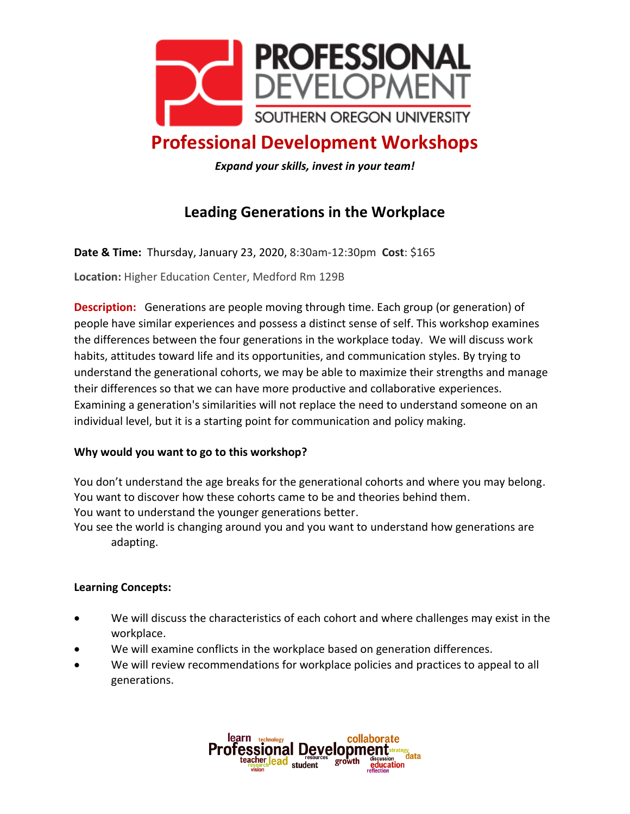

# **Professional Development Workshops**

*Expand your skills, invest in your team!*

## **Leading Generations in the Workplace**

**Date & Time:** Thursday, January 23, 2020, 8:30am-12:30pm **Cost**: \$165

**Location:** Higher Education Center, Medford Rm 129B

**Description:** Generations are people moving through time. Each group (or generation) of people have similar experiences and possess a distinct sense of self. This workshop examines the differences between the four generations in the workplace today. We will discuss work habits, attitudes toward life and its opportunities, and communication styles. By trying to understand the generational cohorts, we may be able to maximize their strengths and manage their differences so that we can have more productive and collaborative experiences. Examining a generation's similarities will not replace the need to understand someone on an individual level, but it is a starting point for communication and policy making.

#### **Why would you want to go to this workshop?**

You don't understand the age breaks for the generational cohorts and where you may belong. You want to discover how these cohorts came to be and theories behind them. You want to understand the younger generations better.

You see the world is changing around you and you want to understand how generations are adapting.

#### **Learning Concepts:**

- We will discuss the characteristics of each cohort and where challenges may exist in the workplace.
- We will examine conflicts in the workplace based on generation differences.
- We will review recommendations for workplace policies and practices to appeal to all generations.